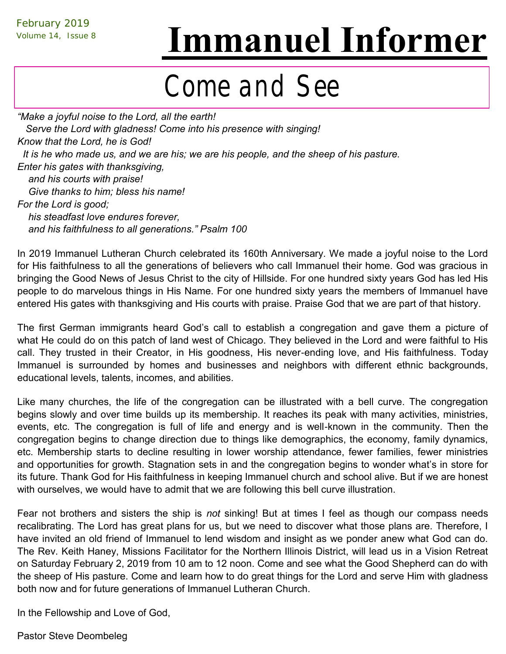# Volume 14, Issue 8 **Immanuel Informer**

## Come and See

*"Make a joyful noise to the Lord, all the earth! Serve the Lord with gladness! Come into his presence with singing! Know that the Lord, he is God! It is he who made us, and we are his; we are his people, and the sheep of his pasture. Enter his gates with thanksgiving, and his courts with praise! Give thanks to him; bless his name! For the Lord is good; his steadfast love endures forever, and his faithfulness to all generations." Psalm 100*

In 2019 Immanuel Lutheran Church celebrated its 160th Anniversary. We made a joyful noise to the Lord for His faithfulness to all the generations of believers who call Immanuel their home. God was gracious in bringing the Good News of Jesus Christ to the city of Hillside. For one hundred sixty years God has led His people to do marvelous things in His Name. For one hundred sixty years the members of Immanuel have entered His gates with thanksgiving and His courts with praise. Praise God that we are part of that history.

The first German immigrants heard God's call to establish a congregation and gave them a picture of what He could do on this patch of land west of Chicago. They believed in the Lord and were faithful to His call. They trusted in their Creator, in His goodness, His never-ending love, and His faithfulness. Today Immanuel is surrounded by homes and businesses and neighbors with different ethnic backgrounds, educational levels, talents, incomes, and abilities.

Like many churches, the life of the congregation can be illustrated with a bell curve. The congregation begins slowly and over time builds up its membership. It reaches its peak with many activities, ministries, events, etc. The congregation is full of life and energy and is well-known in the community. Then the congregation begins to change direction due to things like demographics, the economy, family dynamics, etc. Membership starts to decline resulting in lower worship attendance, fewer families, fewer ministries and opportunities for growth. Stagnation sets in and the congregation begins to wonder what's in store for its future. Thank God for His faithfulness in keeping Immanuel church and school alive. But if we are honest with ourselves, we would have to admit that we are following this bell curve illustration.

Fear not brothers and sisters the ship is *not* sinking! But at times I feel as though our compass needs recalibrating. The Lord has great plans for us, but we need to discover what those plans are. Therefore, I have invited an old friend of Immanuel to lend wisdom and insight as we ponder anew what God can do. The Rev. Keith Haney, Missions Facilitator for the Northern Illinois District, will lead us in a Vision Retreat on Saturday February 2, 2019 from 10 am to 12 noon. Come and see what the Good Shepherd can do with the sheep of His pasture. Come and learn how to do great things for the Lord and serve Him with gladness both now and for future generations of Immanuel Lutheran Church.

In the Fellowship and Love of God,

Pastor Steve Deombeleg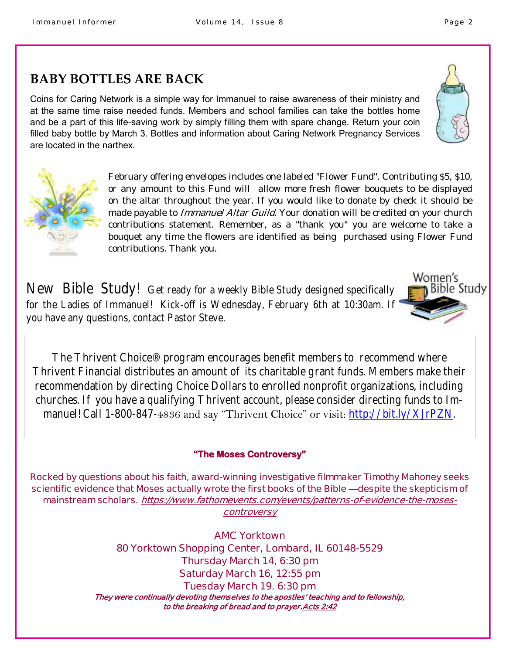## **BABY BOTTLES ARE BACK**

Coins for Caring Network is a simple way for Immanuel to raise awareness of their ministry and at the same time raise needed funds. Members and school families can take the bottles home and be a part of this life-saving work by simply filling them with spare change. Return your coin filled baby bottle by March 3. Bottles and information about Caring Network Pregnancy Services are located in the narthex.

> February offering envelopes includes one labeled "Flower Fund". Contributing \$5, \$10, or any amount to this Fund will allow more fresh flower bouquets to be displayed on the altar throughout the year. If you would like to donate by check it should be made payable to Immanuel Altar Guild. Your donation will be credited on your church contributions statement. Remember, as a "thank you" you are welcome to take a bouquet any time the flowers are identified as being purchased using Flower Fund contributions. Thank you.

New Bible Study! Get ready for a weekly Bible Study designed specifically for the Ladies of Immanuel! Kick-off is Wednesday, February 6th at 10:30am. If you have any questions, contact Pastor Steve.

The [Thrivent Choice® program](https://www.thrivent.com/making-a-difference/living-generously/thrivent-choice/) encourages benefit members to recommend where Thrivent Financial distributes an amount of its charitable grant funds. Members make their recommendation by directing Choice Dollars to enrolled nonprofit organizations, including churches. If you have a qualifying Thrivent account, please consider directing funds to Immanuel! Call 1-800-847-4836 and say "Thrivent Choice" or visit: [http://bit.ly/XJrPZN.](http://bit.ly/XJrPZN)

#### **"The Moses Controversy"**

**Rocked by questions about his faith, award-winning investigative filmmaker Timothy Mahoney seeks scientific evidence that Moses actually wrote the first books of the Bible —despite the skepticism of mainstream scholars. https://www.fathomevents.com/events/patterns-of-evidence-the-mosescontroversy**

> **AMC Yorktown 80 Yorktown Shopping Center, Lombard, IL 60148-5529 Thursday March 14, 6:30 pm Saturday March 16, 12:55 pm Tuesday March 19. 6:30 pm They were continually devoting themselves to the apostles' teaching and to fellowship, to the breaking of bread and to prayer.[Acts 2:42](https://bible.knowing-jesus.com/Acts/2/42)**





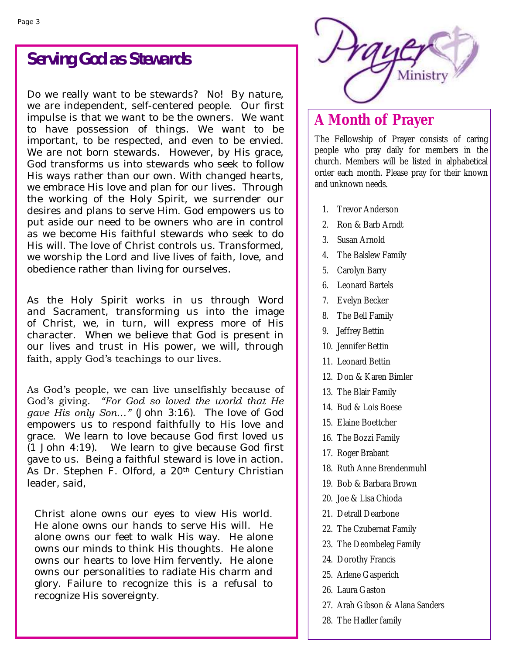## **Serving God as Stewards**

Do we really want to be stewards? No! By nature, we are independent, self-centered people. Our first impulse is that we want to be the owners. We want to have possession of things. We want to be important, to be respected, and even to be envied. We are not born stewards. However, by His grace, God transforms us into stewards who seek to follow His ways rather than our own. With changed hearts, we embrace His love and plan for our lives. Through the working of the Holy Spirit, we surrender our desires and plans to serve Him. God empowers us to put aside our need to be owners who are in control as we become His faithful stewards who seek to do His will. The love of Christ controls us. Transformed, we worship the Lord and live lives of faith, love, and obedience rather than living for ourselves.

As the Holy Spirit works in us through Word and Sacrament, transforming us into the image of Christ, we, in turn, will express more of His character. When we believe that God is present in our lives and trust in His power, we will, through faith, apply God's teachings to our lives.

As God's people, we can live unselfishly because of God's giving. *"For God so loved the world that He gave His only Son…"* (John 3:16). The love of God empowers us to respond faithfully to His love and grace. We learn to love because God first loved us (1 John 4:19). We learn to give because God first gave to us. Being a faithful steward is love in action. As Dr. Stephen F. Olford, a 20th Century Christian leader, said,

Christ alone owns our eyes to view His world. He alone owns our hands to serve His will. He alone owns our feet to walk His way. He alone owns our minds to think His thoughts. He alone owns our hearts to love Him fervently. He alone owns our personalities to radiate His charm and glory. Failure to recognize this is a refusal to recognize His sovereignty.



## **A Month of Prayer**

The Fellowship of Prayer consists of caring people who pray daily for members in the church. Members will be listed in alphabetical order each month. Please pray for their known and unknown needs.

- 1. Trevor Anderson
- 2. Ron & Barb Arndt
- 3. Susan Arnold
- 4. The Balslew Family
- 5. Carolyn Barry
- 6. Leonard Bartels
- 7. Evelyn Becker
- 8. The Bell Family
- 9. Jeffrey Bettin
- 10. Jennifer Bettin
- 11. Leonard Bettin
- 12. Don & Karen Bimler
- 13. The Blair Family
- 14. Bud & Lois Boese
- 15. Elaine Boettcher
- 16. The Bozzi Family
- 17. Roger Brabant
- 18. Ruth Anne Brendenmuhl
- 19. Bob & Barbara Brown
- 20. [Joe &](https://onrealm.org/ilchillside/Individual/Info/6419f103-8172-4771-91dc-a537011b91a2) Lisa Chioda
- 21. Detrall Dearbone
- 22. The Czubernat Family
- 23. The Deombeleg Family
- 24. Dorothy Francis
- 25. Arlene Gasperich
- 26. Laura Gaston
- 27. Arah Gibson & Alana Sanders
- 28. The Hadler family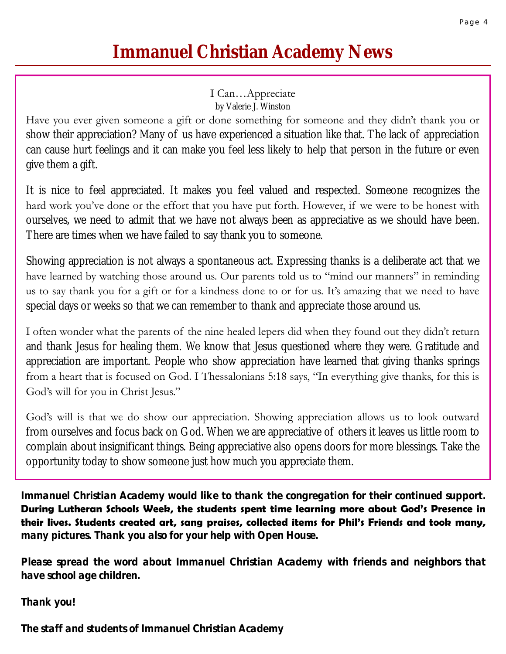## **Immanuel Christian Academy News**

### I Can…Appreciate

by Valerie J. Winston

Have you ever given someone a gift or done something for someone and they didn't thank you or show their appreciation? Many of us have experienced a situation like that. The lack of appreciation can cause hurt feelings and it can make you feel less likely to help that person in the future or even give them a gift.

It is nice to feel appreciated. It makes you feel valued and respected. Someone recognizes the hard work you've done or the effort that you have put forth. However, if we were to be honest with ourselves, we need to admit that we have not always been as appreciative as we should have been. There are times when we have failed to say thank you to someone.

Showing appreciation is not always a spontaneous act. Expressing thanks is a deliberate act that we have learned by watching those around us. Our parents told us to "mind our manners" in reminding us to say thank you for a gift or for a kindness done to or for us. It's amazing that we need to have special days or weeks so that we can remember to thank and appreciate those around us.

I often wonder what the parents of the nine healed lepers did when they found out they didn't return and thank Jesus for healing them. We know that Jesus questioned where they were. Gratitude and appreciation are important. People who show appreciation have learned that giving thanks springs from a heart that is focused on God. I Thessalonians 5:18 says, "In everything give thanks, for this is God's will for you in Christ Jesus."

God's will is that we do show our appreciation. Showing appreciation allows us to look outward from ourselves and focus back on God. When we are appreciative of others it leaves us little room to complain about insignificant things. Being appreciative also opens doors for more blessings. Take the opportunity today to show someone just how much you appreciate them.

**Immanuel Christian Academy would like to thank the congregation for their continued support. During Lutheran Schools Week, the students spent time learning more about God's Presence in their lives. Students created art, sang praises, collected items for Phil's Friends and took many, many pictures. Thank you also for your help with Open House.** 

**Please spread the word about Immanuel Christian Academy with friends and neighbors that have school age children.** 

**Thank you!**

**The staff and students of Immanuel Christian Academy**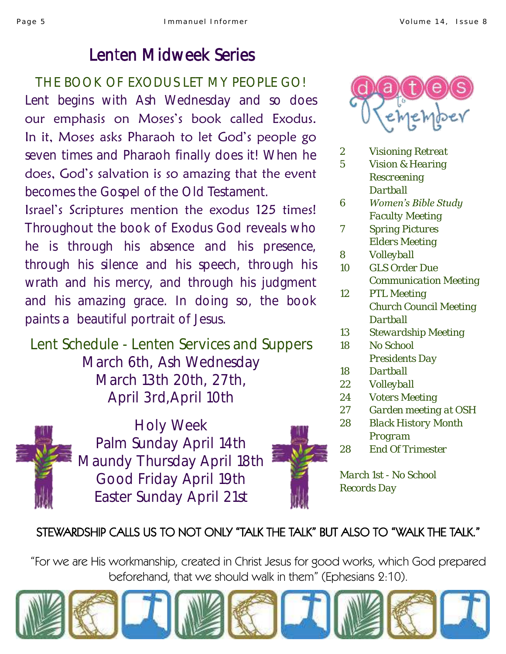## Lenten Midweek Series

THE BOOK OF EXODUS LET MY PEOPLE GO! Lent begins with Ash Wednesday and so does our emphasis on Moses's book called Exodus. In it, Moses asks Pharaoh to let God's people go seven times and Pharaoh finally does it! When he does, God's salvation is so amazing that the event becomes the Gospel of the Old Testament.

Israel's Scriptures mention the exodus 125 times! Throughout the book of Exodus God reveals who he is through his absence and his presence, through his silence and his speech, through his wrath and his mercy, and through his judgment and his amazing grace. In doing so, the book paints a beautiful portrait of Jesus.

Lent Schedule - Lenten Services and Suppers March 6th, Ash Wednesday March 13th 20th, 27th, April 3rd,April 10th



Holy Week Palm Sunday April 14th Maundy Thursday April 18th Good Friday April 19th Easter Sunday April 21st



*March 1st - No School Records Day*

## STEWARDSHIP CALLS US TO NOT ONLY "TALK THE TALK" BUT ALSO TO "WALK THE TALK."

"For we are His workmanship, created in Christ Jesus for good works, which God prepared beforehand, that we should walk in them" (Ephesians 2:10).





- *2 Visioning Retreat*
- *5 Vision & Hearing Rescreening Dartball*
- *6 Women's Bible Study Faculty Meeting*
- *7 Spring Pictures Elders Meeting*
- *8 Volleyball*
- *10 GLS Order Due Communication Meeting*
- *12 PTL Meeting Church Council Meeting Dartball*
- *13 Stewardship Meeting*
- *18 No School Presidents Day*
- *18 Dartball*
- *22 Volleyball*
- *24 Voters Meeting*
- *27 Garden meeting at OSH*
- *28 Black History Month Program*
- *28 End Of Trimester*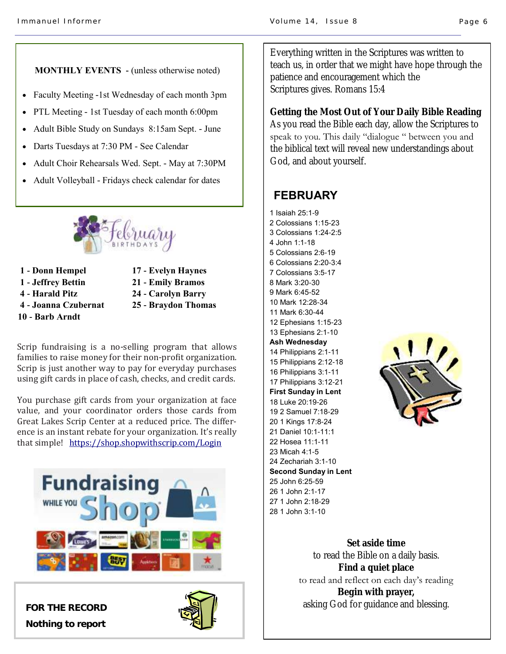#### **MONTHLY EVENTS -** (unless otherwise noted)

- Faculty Meeting -1st Wednesday of each month 3pm
- PTL Meeting 1st Tuesday of each month 6:00pm
- Adult Bible Study on Sundays 8:15am Sept. June
- Darts Tuesdays at 7:30 PM See Calendar
- Adult Choir Rehearsals Wed. Sept. May at 7:30PM
- Adult Volleyball Fridays check calendar for dates



- **1 - Donn Hempel 1 - Jeffrey Bettin 4 - Harald Pitz 4 - Joanna Czubernat 10 - Barb Arndt**
- **17 - Evelyn Haynes**
- **21 - Emily Bramos**
- **24 - Carolyn Barry 25 - Braydon Thomas**
- 

Scrip fundraising is a no-selling program that allows families to raise money for their non-profit organization. Scrip is just another way to pay for everyday purchases using gift cards in place of cash, checks, and credit cards.

You purchase gift cards from your organization at face value, and your coordinator orders those cards from Great Lakes Scrip Center at a reduced price. The difference is an instant rebate for your organization. It's really that simple! <https://shop.shopwithscrip.com/Login>





Everything written in the Scriptures was written to teach us, in order that we might have hope through the patience and encouragement which the Scriptures gives. Romans 15:4

**Getting the Most Out of Your Daily Bible Reading** As you read the Bible each day, allow the Scriptures to speak to you. This daily "dialogue " between you and the biblical text will reveal new understandings about God, and about yourself.

#### **FEBRUARY**

1 Isaiah 25:1-9 2 Colossians 1:15-23 3 Colossians 1:24-2:5 4 John 1:1-18 5 Colossians 2:6-19 6 Colossians 2:20-3:4 7 Colossians 3:5-17 8 Mark 3:20-30 9 Mark 6:45-52 10 Mark 12:28-34 11 Mark 6:30-44 12 Ephesians 1:15-23 13 Ephesians 2:1-10 **Ash Wednesday** 14 Philippians 2:1-11 15 Philippians 2:12-18 16 Philippians 3:1-11 17 Philippians 3:12-21 **First Sunday in Lent** 18 Luke 20:19-26 19 2 Samuel 7:18-29 20 1 Kings 17:8-24 21 Daniel 10:1-11:1 22 Hosea 11:1-11 23 Micah 4:1-5 24 Zechariah 3:1-10 **Second Sunday in Lent** 25 John 6:25-59 26 1 John 2:1-17 27 1 John 2:18-29 28 1 John 3:1-10



**Set aside time**  to read the Bible on a daily basis. **Find a quiet place** to read and reflect on each day's reading **Begin with prayer,** asking God for guidance and blessing. **FOR THE RECORD**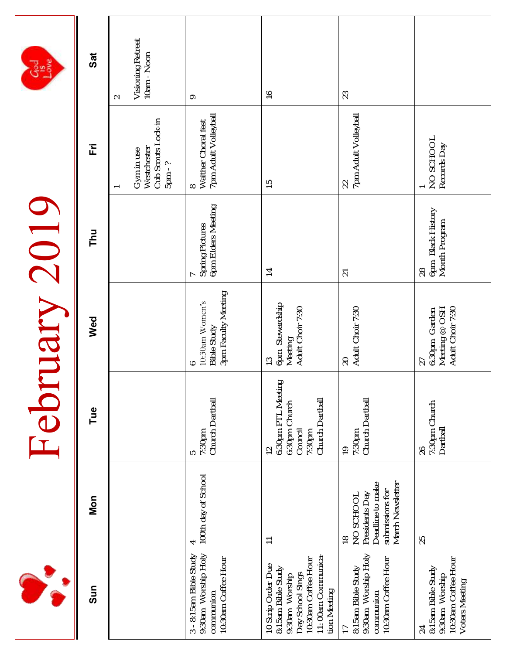|                                                                                                                                             |                                                                                                         |                                                                                            | February 2019                                                   |                                          |                                                              |                                            |
|---------------------------------------------------------------------------------------------------------------------------------------------|---------------------------------------------------------------------------------------------------------|--------------------------------------------------------------------------------------------|-----------------------------------------------------------------|------------------------------------------|--------------------------------------------------------------|--------------------------------------------|
| Sun                                                                                                                                         | Non                                                                                                     | Tue                                                                                        | Wed                                                             | Thu                                      | Ë                                                            | $\overline{\mathbf{a}}$                    |
|                                                                                                                                             |                                                                                                         |                                                                                            |                                                                 |                                          | Cub Scouts Lock-in<br>Westchester<br>Gym in use<br>$5pm - ?$ | Visioning Retreat<br>10am - Noon<br>$\sim$ |
| 9:30am Worship Holy<br>3 - 8:15am Bible Study<br>10:30am Coffee Hour<br>communion                                                           | 100th day of School<br>4                                                                                | Church Dartball<br>5<br>7:30pm                                                             | 3pm Faculty Meeting<br>10:30am Women's<br>Bible Study           | Spring Pictures<br>6pm Elders Meeting    | 8<br>Walther Choral fest<br>7pm Adult Volleyball             | $\circ$                                    |
| 11:00am Communica-<br>10:30am Coffee Hour<br>10 Scrip Order Due<br>8:15am Bible Study<br>Day School Sings<br>9:30am Worship<br>tion Meeting | $\overline{\phantom{0}}$                                                                                | 6:30pm PTL Meeting<br>Church Dartball<br>6:30pm Church<br>Council<br>7:30pm<br>$\supseteq$ | 6pm Stewardship<br>Meeting<br>Adult Choir 7:30<br>$\frac{3}{2}$ | $\overline{1}$                           | $\frac{5}{1}$                                                | $\frac{9}{1}$                              |
| 9:30am Worship Holy<br>10:30am Coffee Hour<br>8:15am Bible Study<br>communion                                                               | Deadline to make<br>March Newsletter<br>submissions for<br>Presidents Day<br>NO SCHOOL<br>$\frac{8}{1}$ | Church Dartball<br>7:30pm<br>$\frac{1}{2}$                                                 | Adult Choir 7:30<br>$\geqslant$                                 | $\overline{2}$                           | 22<br>  7pm Adult Volleyball                                 | 23                                         |
| 10:30am Coffee Hour<br>8:15am Bible Study<br>9:30am Worship<br>Voters Meeting<br>24                                                         | 25                                                                                                      | 7:30pm Church<br>Dartball<br>26                                                            | Meeting @ OSH<br>Adult Choir 7:30<br>6:30pm Garden<br>27        | 6pm Black History<br>Month Program<br>28 | NO SCHOOL<br>Records Day                                     |                                            |